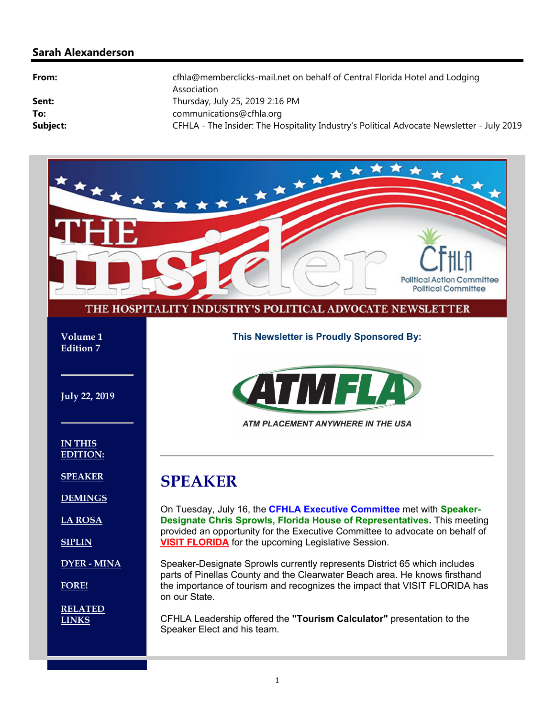### **Sarah Alexanderson**

| From:    | cfhla@memberclicks-mail.net on behalf of Central Florida Hotel and Lodging<br>Association |
|----------|-------------------------------------------------------------------------------------------|
| Sent:    | Thursday, July 25, 2019 2:16 PM                                                           |
| To:      | communications@cfhla.org                                                                  |
| Subject: | CFHLA - The Insider: The Hospitality Industry's Political Advocate Newsletter - July 2019 |

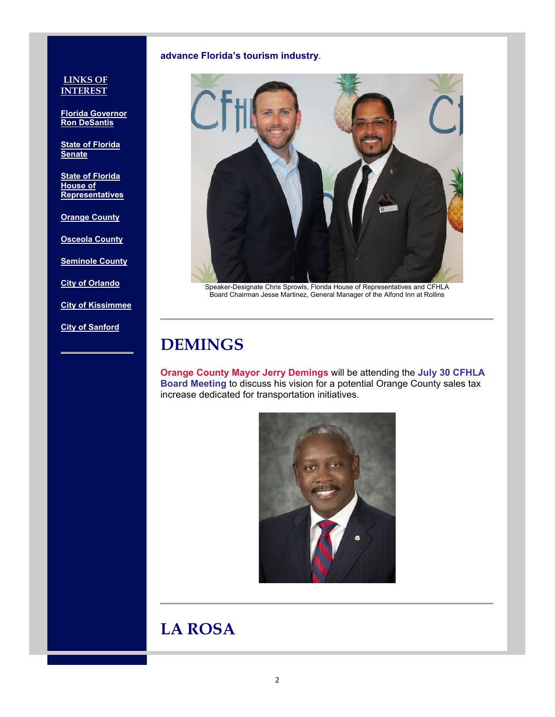#### **advance Florida's tourism industry**.

#### **LINKS OF INTEREST**

**Florida Governor Ron DeSantis**

**State of Florida Senate**

**State of Florida House of Representatives**

**Orange County**

**Osceola County**

**Seminole County**

**City of Orlando**

**City of Kissimmee**

**City of Sanford**



Speaker-Designate Chris Sprowls, Florida House of Representatives and CFHLA Board Chairman Jesse Martinez, General Manager of the Alfond Inn at Rollins

## **DEMINGS**

**Orange County Mayor Jerry Demings** will be attending the **July 30 CFHLA Board Meeting** to discuss his vision for a potential Orange County sales tax increase dedicated for transportation initiatives.



## **LA ROSA**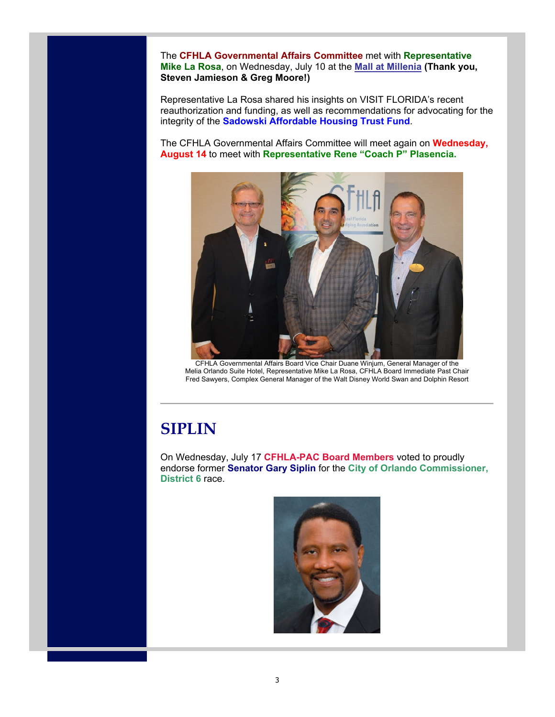The **CFHLA Governmental Affairs Committee** met with **Representative Mike La Rosa**, on Wednesday, July 10 at the **Mall at Millenia (Thank you, Steven Jamieson & Greg Moore!)**

Representative La Rosa shared his insights on VISIT FLORIDA's recent reauthorization and funding, as well as recommendations for advocating for the integrity of the **Sadowski Affordable Housing Trust Fund**.

The CFHLA Governmental Affairs Committee will meet again on **Wednesday, August 14** to meet with **Representative Rene "Coach P" Plasencia.**



CFHLA Governmental Affairs Board Vice Chair Duane Winjum, General Manager of the Melia Orlando Suite Hotel, Representative Mike La Rosa, CFHLA Board Immediate Past Chair Fred Sawyers, Complex General Manager of the Walt Disney World Swan and Dolphin Resort

# **SIPLIN**

On Wednesday, July 17 **CFHLA-PAC Board Members** voted to proudly endorse former **Senator Gary Siplin** for the **City of Orlando Commissioner, District 6** race.

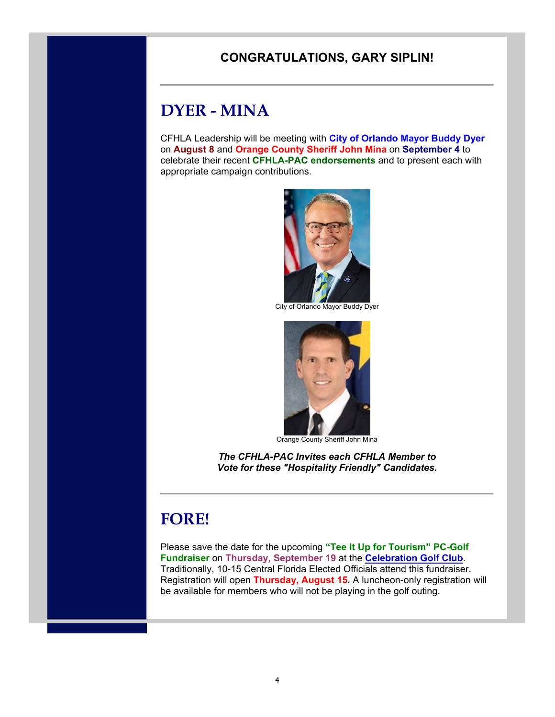### **CONGRATULATIONS, GARY SIPLIN!**

# **DYER - MINA**

CFHLA Leadership will be meeting with **City of Orlando Mayor Buddy Dyer** on **August 8** and **Orange County Sheriff John Mina** on **September 4** to celebrate their recent **CFHLA-PAC endorsements** and to present each with appropriate campaign contributions.



City of Orlando Mayor Buddy Dyer



Orange County Sheriff John Mina

*The CFHLA-PAC Invites each CFHLA Member to Vote for these "Hospitality Friendly" Candidates.*

# **FORE!**

Please save the date for the upcoming **"Tee It Up for Tourism" PC-Golf Fundraiser** on **Thursday, September 19** at the **Celebration Golf Club**. Traditionally, 10-15 Central Florida Elected Officials attend this fundraiser. Registration will open **Thursday, August 15**. A luncheon-only registration will be available for members who will not be playing in the golf outing.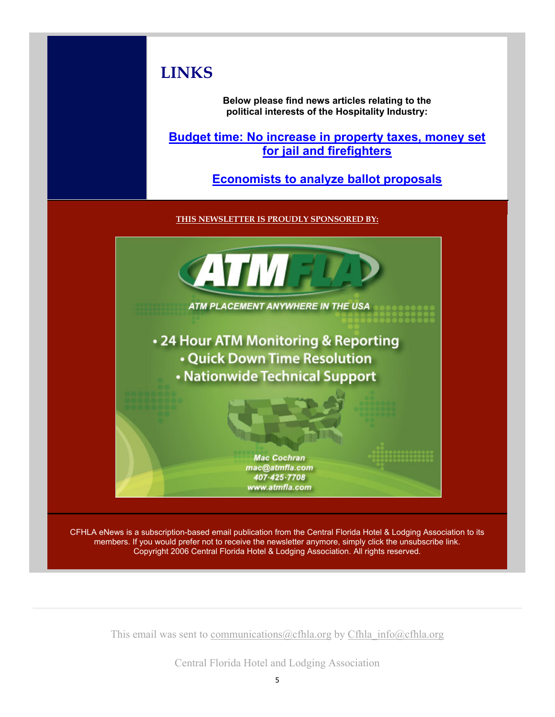# **LINKS**

**Below please find news articles relating to the political interests of the Hospitality Industry:**

**Budget time: No increase in property taxes, money set for jail and firefighters** 

**Economists to analyze ballot proposals**

**THIS NEWSLETTER IS PROUDLY SPONSORED BY:**



CFHLA eNews is a subscription-based email publication from the Central Florida Hotel & Lodging Association to its members. If you would prefer not to receive the newsletter anymore, simply click the unsubscribe link. Copyright 2006 Central Florida Hotel & Lodging Association. All rights reserved.

This email was sent to communications@cfhla.org by Cfhla info@cfhla.org

Central Florida Hotel and Lodging Association